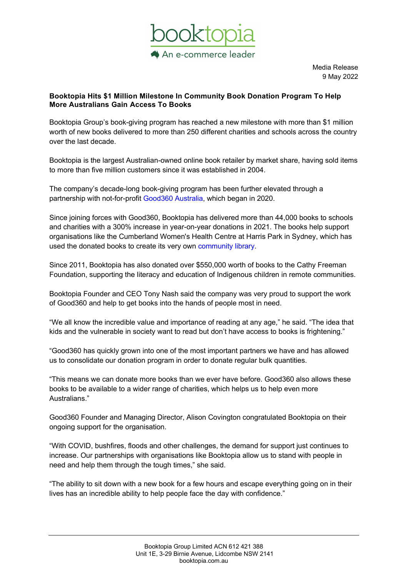

Media Release 9 May 2022

## Booktopia Hits \$1 Million Milestone In Community Book Donation Program To Help More Australians Gain Access To Books

Booktopia Group's book-giving program has reached a new milestone with more than \$1 million worth of new books delivered to more than 250 different charities and schools across the country over the last decade.

Booktopia is the largest Australian-owned online book retailer by market share, having sold items to more than five million customers since it was established in 2004.

The company's decade-long book-giving program has been further elevated through a partnership with not-for-profit Good360 Australia, which began in 2020.

Since joining forces with Good360, Booktopia has delivered more than 44,000 books to schools and charities with a 300% increase in year-on-year donations in 2021. The books help support organisations like the Cumberland Women's Health Centre at Harris Park in Sydney, which has used the donated books to create its very own community library.

Since 2011, Booktopia has also donated over \$550,000 worth of books to the Cathy Freeman Foundation, supporting the literacy and education of Indigenous children in remote communities.

Booktopia Founder and CEO Tony Nash said the company was very proud to support the work of Good360 and help to get books into the hands of people most in need.

"We all know the incredible value and importance of reading at any age," he said. "The idea that kids and the vulnerable in society want to read but don't have access to books is frightening."

"Good360 has quickly grown into one of the most important partners we have and has allowed us to consolidate our donation program in order to donate regular bulk quantities.

"This means we can donate more books than we ever have before. Good360 also allows these books to be available to a wider range of charities, which helps us to help even more Australians."

Good360 Founder and Managing Director, Alison Covington congratulated Booktopia on their ongoing support for the organisation.

"With COVID, bushfires, floods and other challenges, the demand for support just continues to increase. Our partnerships with organisations like Booktopia allow us to stand with people in need and help them through the tough times," she said.

"The ability to sit down with a new book for a few hours and escape everything going on in their lives has an incredible ability to help people face the day with confidence."